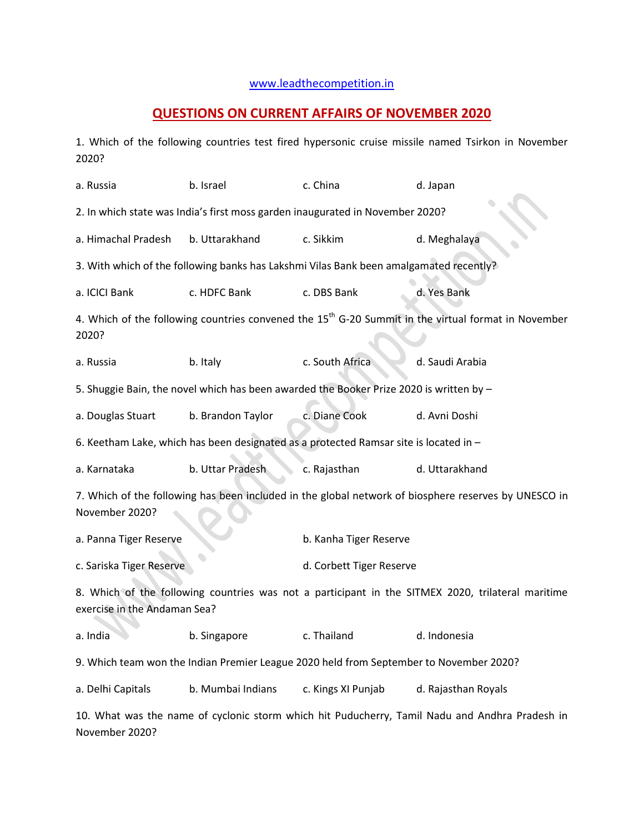## [www.leadthecompetition.in](http://www.leadthecompetition.in/)

## **QUESTIONS ON CURRENT AFFAIRS OF NOVEMBER 2020**

1. Which of the following countries test fired hypersonic cruise missile named Tsirkon in November 2020?

| a. Russia                                                                                                                         | b. Israel         | c. China                 | d. Japan            |  |  |  |  |  |
|-----------------------------------------------------------------------------------------------------------------------------------|-------------------|--------------------------|---------------------|--|--|--|--|--|
| 2. In which state was India's first moss garden inaugurated in November 2020?                                                     |                   |                          |                     |  |  |  |  |  |
| a. Himachal Pradesh                                                                                                               | b. Uttarakhand    | c. Sikkim                | d. Meghalaya        |  |  |  |  |  |
| 3. With which of the following banks has Lakshmi Vilas Bank been amalgamated recently?                                            |                   |                          |                     |  |  |  |  |  |
| a. ICICI Bank                                                                                                                     | c. HDFC Bank      | c. DBS Bank              | d. Yes Bank         |  |  |  |  |  |
| 4. Which of the following countries convened the 15 <sup>th</sup> G-20 Summit in the virtual format in November<br>2020?          |                   |                          |                     |  |  |  |  |  |
| a. Russia                                                                                                                         | b. Italy          | c. South Africa          | d. Saudi Arabia     |  |  |  |  |  |
| 5. Shuggie Bain, the novel which has been awarded the Booker Prize 2020 is written by -                                           |                   |                          |                     |  |  |  |  |  |
| a. Douglas Stuart                                                                                                                 | b. Brandon Taylor | c. Diane Cook            | d. Avni Doshi       |  |  |  |  |  |
| 6. Keetham Lake, which has been designated as a protected Ramsar site is located in -                                             |                   |                          |                     |  |  |  |  |  |
| a. Karnataka                                                                                                                      | b. Uttar Pradesh  | c. Rajasthan             | d. Uttarakhand      |  |  |  |  |  |
| 7. Which of the following has been included in the global network of biosphere reserves by UNESCO in<br>November 2020?            |                   |                          |                     |  |  |  |  |  |
| a. Panna Tiger Reserve                                                                                                            |                   | b. Kanha Tiger Reserve   |                     |  |  |  |  |  |
| c. Sariska Tiger Reserve                                                                                                          |                   | d. Corbett Tiger Reserve |                     |  |  |  |  |  |
| 8. Which of the following countries was not a participant in the SITMEX 2020, trilateral maritime<br>exercise in the Andaman Sea? |                   |                          |                     |  |  |  |  |  |
| a. India                                                                                                                          | b. Singapore      | c. Thailand              | d. Indonesia        |  |  |  |  |  |
| 9. Which team won the Indian Premier League 2020 held from September to November 2020?                                            |                   |                          |                     |  |  |  |  |  |
| a. Delhi Capitals                                                                                                                 | b. Mumbai Indians | c. Kings XI Punjab       | d. Rajasthan Royals |  |  |  |  |  |
| 10. What was the name of cyclonic storm which hit Puducherry, Tamil Nadu and Andhra Pradesh in                                    |                   |                          |                     |  |  |  |  |  |

November 2020?